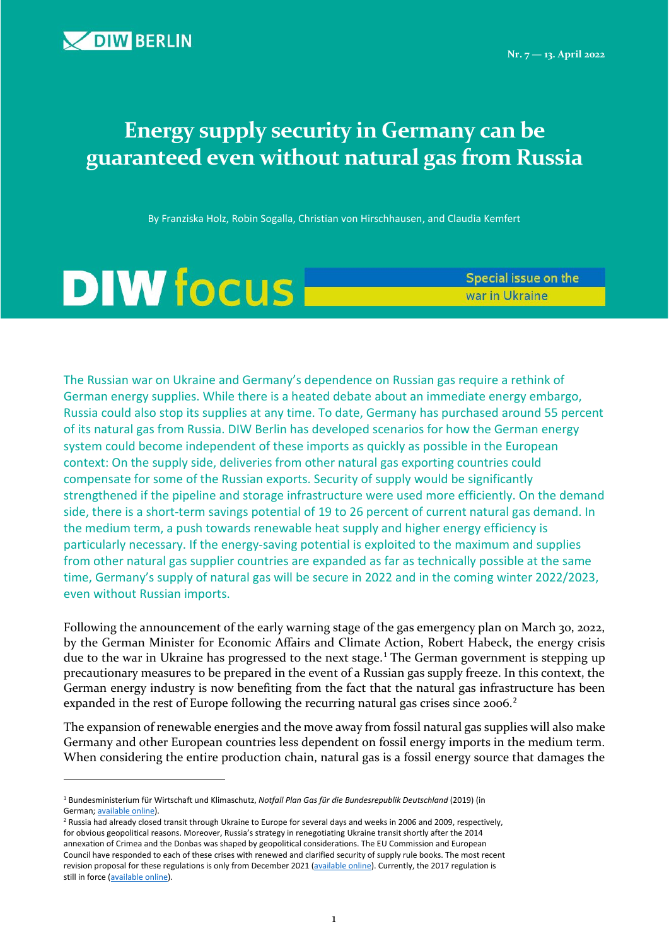$\overline{a}$ 

# **Energy supply security in Germany can be guaranteed even without natural gas from Russia**

By Franziska Holz, Robin Sogalla, Christian von Hirschhausen, and Claudia Kemfert

# **DIW focus**

Special issue on the war in Ukraine

The Russian war on Ukraine and Germany's dependence on Russian gas require a rethink of German energy supplies. While there is a heated debate about an immediate energy embargo, Russia could also stop its supplies at any time. To date, Germany has purchased around 55 percent of its natural gas from Russia. DIW Berlin has developed scenarios for how the German energy system could become independent of these imports as quickly as possible in the European context: On the supply side, deliveries from other natural gas exporting countries could compensate for some of the Russian exports. Security of supply would be significantly strengthened if the pipeline and storage infrastructure were used more efficiently. On the demand side, there is a short-term savings potential of 19 to 26 percent of current natural gas demand. In the medium term, a push towards renewable heat supply and higher energy efficiency is particularly necessary. If the energy-saving potential is exploited to the maximum and supplies from other natural gas supplier countries are expanded as far as technically possible at the same time, Germany's supply of natural gas will be secure in 2022 and in the coming winter 2022/2023, even without Russian imports.

Following the announcement of the early warning stage of the gas emergency plan on March 30, 2022, by the German Minister for Economic Affairs and Climate Action, Robert Habeck, the energy crisis due to the war in Ukraine has progressed to the next stage.<sup>[1](#page-0-0)</sup> The German government is stepping up precautionary measures to be prepared in the event of a Russian gas supply freeze. In this context, the German energy industry is now benefiting from the fact that the natural gas infrastructure has been expanded in the rest of Europe following the recurring natural gas crises since [2](#page-0-1)006.<sup>2</sup>

The expansion of renewable energies and the move away from fossil natural gas supplies will also make Germany and other European countries less dependent on fossil energy imports in the medium term. When considering the entire production chain, natural gas is a fossil energy source that damages the

<span id="page-0-1"></span>for obvious geopolitical reasons. Moreover, Russia's strategy in renegotiating Ukraine transit shortly after the 2014 annexation of Crimea and the Donbas was shaped by geopolitical considerations. The EU Commission and European Council have responded to each of these crises with renewed and clarified security of supply rule books. The most recent revision proposal for these regulations is only from December 2021 [\(available online\).](https://eur-lex.europa.eu/legal-content/EN/TXT/HTML/?uri=CELEX:52021PC0804&from=EN) Currently, the 2017 regulation is still in force [\(available online\).](https://eur-lex.europa.eu/legal-content/EN/TXT/HTML/?uri=CELEX:32017R1938&from=EN)

<span id="page-0-0"></span><sup>1</sup> Bundesministerium für Wirtschaft und Klimaschutz, *Notfall Plan Gas für die Bundesrepublik Deutschland* (2019) (in German; **available online**).<br><sup>2</sup> Russia had already closed transit through Ukraine to Europe for several days and weeks in 2006 and 2009, respectively,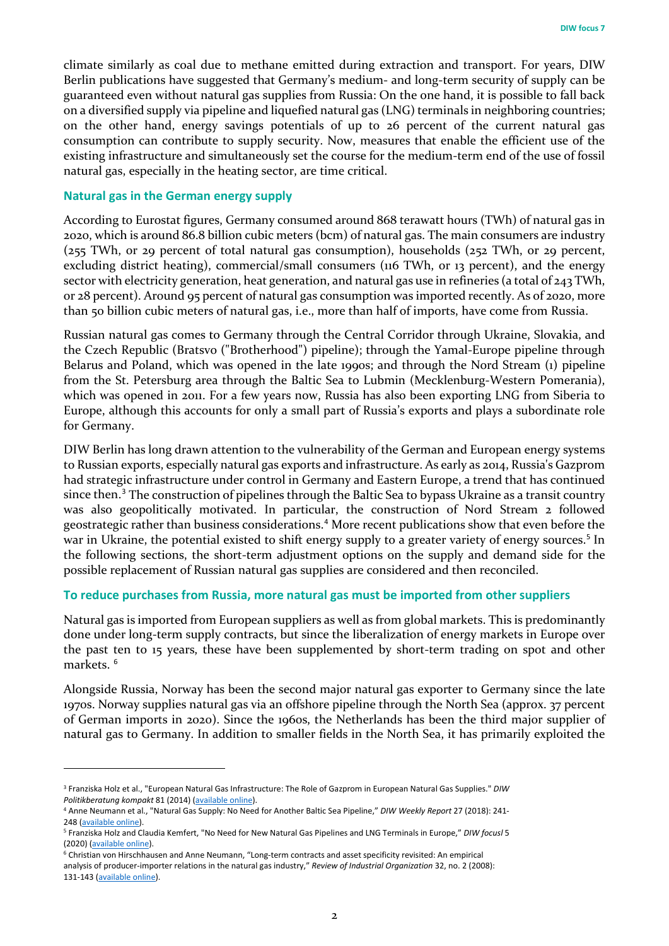climate similarly as coal due to methane emitted during extraction and transport. For years, DIW Berlin publications have suggested that Germany's medium- and long-term security of supply can be guaranteed even without natural gas supplies from Russia: On the one hand, it is possible to fall back on a diversified supply via pipeline and liquefied natural gas (LNG) terminals in neighboring countries; on the other hand, energy savings potentials of up to 26 percent of the current natural gas consumption can contribute to supply security. Now, measures that enable the efficient use of the existing infrastructure and simultaneously set the course for the medium-term end of the use of fossil natural gas, especially in the heating sector, are time critical.

### **Natural gas in the German energy supply**

 $\overline{a}$ 

According to Eurostat figures, Germany consumed around 868 terawatt hours (TWh) of natural gas in 2020, which is around 86.8 billion cubic meters (bcm) of natural gas. The main consumers are industry (255 TWh, or 29 percent of total natural gas consumption), households (252 TWh, or 29 percent, excluding district heating), commercial/small consumers (116 TWh, or 13 percent), and the energy sector with electricity generation, heat generation, and natural gas use in refineries (a total of  $243$  TWh, or 28 percent). Around 95 percent of natural gas consumption was imported recently. As of 2020, more than 50 billion cubic meters of natural gas, i.e., more than half of imports, have come from Russia.

Russian natural gas comes to Germany through the Central Corridor through Ukraine, Slovakia, and the Czech Republic (Bratsvo ("Brotherhood") pipeline); through the Yamal-Europe pipeline through Belarus and Poland, which was opened in the late 1990s; and through the Nord Stream (1) pipeline from the St. Petersburg area through the Baltic Sea to Lubmin (Mecklenburg-Western Pomerania), which was opened in 2011. For a few years now, Russia has also been exporting LNG from Siberia to Europe, although this accounts for only a small part of Russia's exports and plays a subordinate role for Germany.

DIW Berlin has long drawn attention to the vulnerability of the German and European energy systems to Russian exports, especially natural gas exports and infrastructure. As early as 2014, Russia's Gazprom had strategic infrastructure under control in Germany and Eastern Europe, a trend that has continued since then.<sup>[3](#page-1-0)</sup> The construction of pipelines through the Baltic Sea to bypass Ukraine as a transit country was also geopolitically motivated. In particular, the construction of Nord Stream 2 followed geostrategic rather than business considerations.[4](#page-1-1) More recent publications show that even before the war in Ukraine, the potential existed to shift energy supply to a greater variety of energy sources.<sup>[5](#page-1-2)</sup> In the following sections, the short-term adjustment options on the supply and demand side for the possible replacement of Russian natural gas supplies are considered and then reconciled.

# **To reduce purchases from Russia, more natural gas must be imported from other suppliers**

Natural gas is imported from European suppliers as well as from global markets. This is predominantly done under long-term supply contracts, but since the liberalization of energy markets in Europe over the past ten to 15 years, these have been supplemented by short-term trading on spot and other markets.<sup>[6](#page-1-3)</sup>

Alongside Russia, Norway has been the second major natural gas exporter to Germany since the late 1970s. Norway supplies natural gas via an offshore pipeline through the North Sea (approx. 37 percent of German imports in 2020). Since the 1960s, the Netherlands has been the third major supplier of natural gas to Germany. In addition to smaller fields in the North Sea, it has primarily exploited the

<span id="page-1-0"></span><sup>3</sup> Franziska Holz et al., "European Natural Gas Infrastructure: The Role of Gazprom in European Natural Gas Supplies." *DIW Politikberatung kompakt* 81 (2014) [\(available online\)](https://www.diw.de/de/diw_01.c.465340.de/publikationen/politikberatung_kompakt/2014_0081/european_natural_gas_infrastructure__the_role_of_gazprom_in___the_greens/european_free_alliance_in_the_european_parliament.html).

<span id="page-1-1"></span><sup>4</sup> Anne Neumann et al., "Natural Gas Supply: No Need for Another Baltic Sea Pipeline," *DIW Weekly Report* 27 (2018): 241- 248 [\(available online\)](https://www.diw.de/de/diw_01.c.593676.de/publikationen/weekly_reports/2018_27_1/natural_gas_supply__no_need_for_another_baltic_sea_pipeline.html).

<span id="page-1-2"></span><sup>5</sup> Franziska Holz and Claudia Kemfert, "No Need for New Natural Gas Pipelines and LNG Terminals in Europe," *DIW focusl* 5 (2020) [\(available online\)](https://www.diw.de/de/diw_01.c.794645.de/publikationen/diw_focus/2020_0005/no_need_for_new_natural_gas_pipelines_and_lng_terminals_in_europe.html).

<span id="page-1-3"></span><sup>6</sup> Christian von Hirschhausen and Anne Neumann, "Long-term contracts and asset specificity revisited: An empirical

analysis of producer-importer relations in the natural gas industry," *Review of Industrial Organization* 32, no. 2 (2008): 131-143 [\(available online\).](https://doi.org/10.1007/s11151-008-9165-0)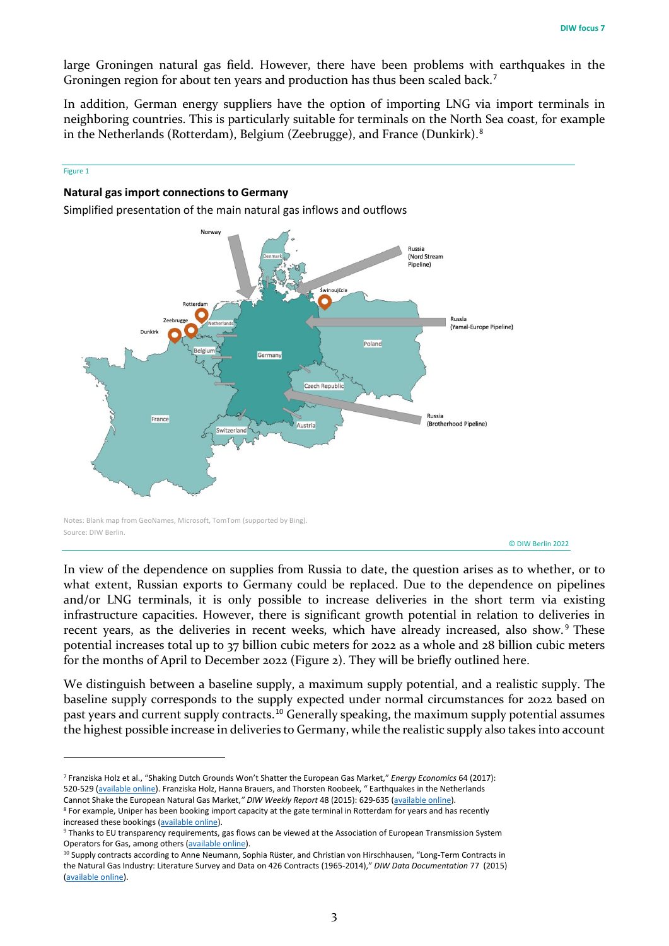large Groningen natural gas field. However, there have been problems with earthquakes in the Groningen region for about ten years and production has thus been scaled back.<sup>[7](#page-2-0)</sup>

In addition, German energy suppliers have the option of importing LNG via import terminals in neighboring countries. This is particularly suitable for terminals on the North Sea coast, for example in the Netherlands (Rotterdam), Belgium (Zeebrugge), and France (Dunkirk).[8](#page-2-1)

#### Figure 1

 $\overline{a}$ 

#### **Natural gas import connections to Germany**

Simplified presentation of the main natural gas inflows and outflows



© DIW Berlin 2022

In view of the dependence on supplies from Russia to date, the question arises as to whether, or to what extent, Russian exports to Germany could be replaced. Due to the dependence on pipelines and/or LNG terminals, it is only possible to increase deliveries in the short term via existing infrastructure capacities. However, there is significant growth potential in relation to deliveries in recent years, as the deliveries in recent weeks, which have already increased, also show.<sup>[9](#page-2-2)</sup> These potential increases total up to 37 billion cubic meters for 2022 as a whole and 28 billion cubic meters for the months of April to December 2022 (Figure 2). They will be briefly outlined here.

We distinguish between a baseline supply, a maximum supply potential, and a realistic supply. The baseline supply corresponds to the supply expected under normal circumstances for 2022 based on past years and current supply contracts.[10](#page-2-3) Generally speaking, the maximum supply potential assumes the highest possible increase in deliveries to Germany, while the realistic supply also takes into account

<span id="page-2-0"></span><sup>7</sup> Franziska Holz et al., "Shaking Dutch Grounds Won't Shatter the European Gas Market," *Energy Economics* 64 (2017): 520-529 [\(available online\).](https://doi.org/10.1016/j.eneco.2016.03.028) Franziska Holz, Hanna Brauers, and Thorsten Roobeek, " Earthquakes in the Netherlands Cannot Shake the European Natural Gas Market,*" DIW Weekly Report* 48 (2015): 629-635 [\(available online\).](https://www.diw.de/de/diw_01.c.520735.de/publikationen/ecomomic_bulletins/2015_48_1/earthquakes_in_the_netherlands_cannot_shake_the_european_natural_gas_market.html)

<span id="page-2-1"></span><sup>&</sup>lt;sup>8</sup> For example, Uniper has been booking import capacity at the gate terminal in Rotterdam for years and has recently increased these bookings [\(available online\)](https://www.uniper.energy/news/de/uniper-bucht-zusaetzliche-kapazitaet-am-gate-terminal).

<span id="page-2-2"></span><sup>9</sup> Thanks to EU transparency requirements, gas flows can be viewed at the Association of European Transmission System Operators for Gas, among others [\(available online\)](https://transparency.entsog.eu/).

<span id="page-2-3"></span><sup>&</sup>lt;sup>10</sup> Supply contracts according to Anne Neumann, Sophia Rüster, and Christian von Hirschhausen, "Long-Term Contracts in the Natural Gas Industry: Literature Survey and Data on 426 Contracts (1965-2014)," *DIW Data Documentation* 77 (2015) [\(available online\)](https://www.diw.de/de/diw_01.c.498213.de/publikationen/data_documentation/2015_0077/long-term_contracts_in_the_natural_gas_industry__literature_survey_and_data_on_426_contracts__1965-2014.html).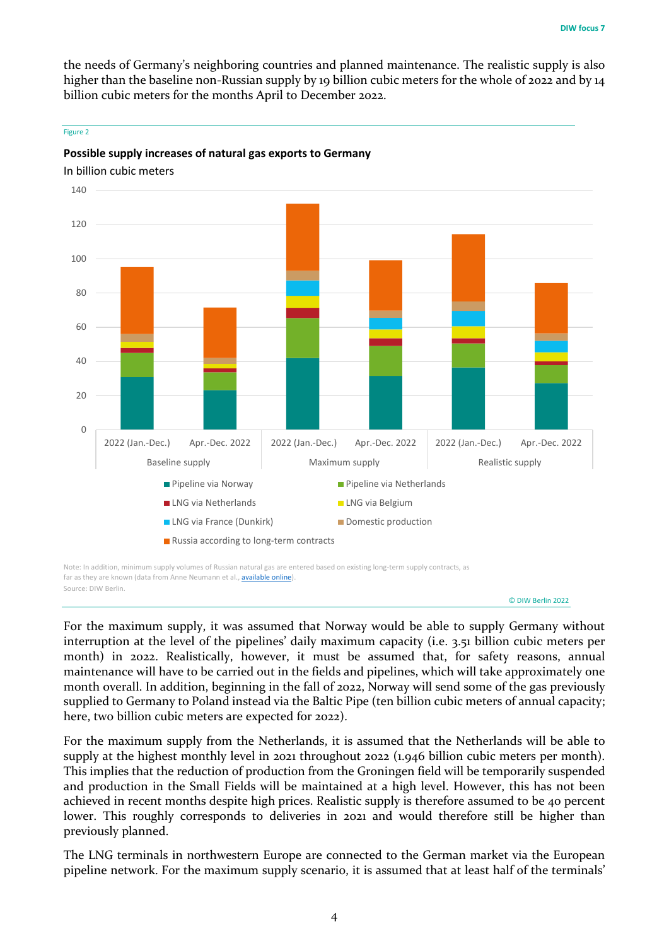the needs of Germany's neighboring countries and planned maintenance. The realistic supply is also higher than the baseline non-Russian supply by 19 billion cubic meters for the whole of 2022 and by 14 billion cubic meters for the months April to December 2022.



In billion cubic meters



## **Possible supply increases of natural gas exports to Germany**

far as they are known (data from Anne Neumann et al., **available online**). Source: DIW Berlin.

© DIW Berlin 2022

For the maximum supply, it was assumed that Norway would be able to supply Germany without interruption at the level of the pipelines' daily maximum capacity (i.e. 3.51 billion cubic meters per month) in 2022. Realistically, however, it must be assumed that, for safety reasons, annual maintenance will have to be carried out in the fields and pipelines, which will take approximately one month overall. In addition, beginning in the fall of 2022, Norway will send some of the gas previously supplied to Germany to Poland instead via the Baltic Pipe (ten billion cubic meters of annual capacity; here, two billion cubic meters are expected for 2022).

For the maximum supply from the Netherlands, it is assumed that the Netherlands will be able to supply at the highest monthly level in 2021 throughout 2022 (1.946 billion cubic meters per month). This implies that the reduction of production from the Groningen field will be temporarily suspended and production in the Small Fields will be maintained at a high level. However, this has not been achieved in recent months despite high prices. Realistic supply is therefore assumed to be 40 percent lower. This roughly corresponds to deliveries in 2021 and would therefore still be higher than previously planned.

The LNG terminals in northwestern Europe are connected to the German market via the European pipeline network. For the maximum supply scenario, it is assumed that at least half of the terminals'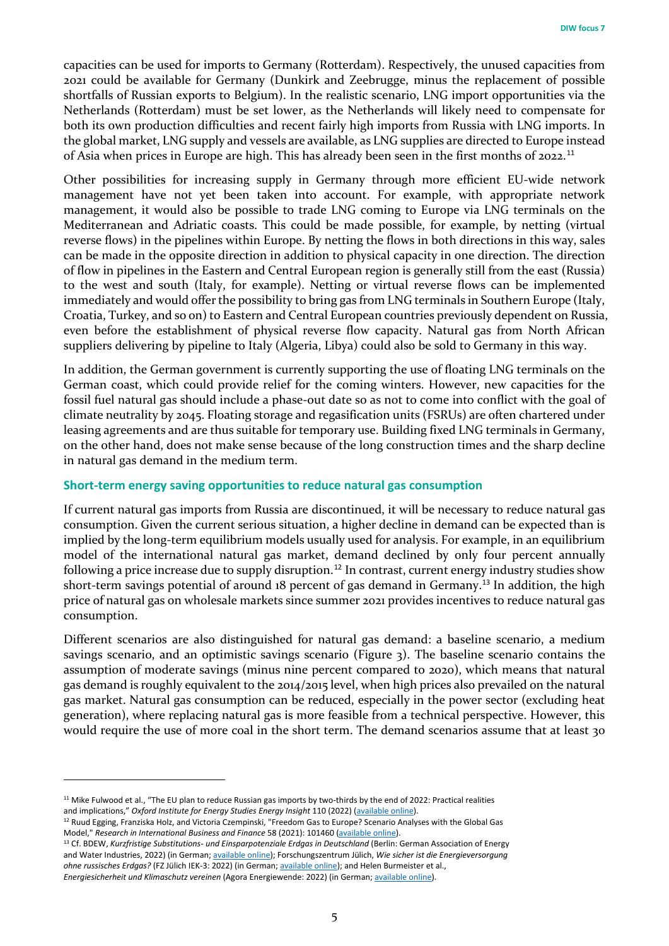capacities can be used for imports to Germany (Rotterdam). Respectively, the unused capacities from 2021 could be available for Germany (Dunkirk and Zeebrugge, minus the replacement of possible shortfalls of Russian exports to Belgium). In the realistic scenario, LNG import opportunities via the Netherlands (Rotterdam) must be set lower, as the Netherlands will likely need to compensate for both its own production difficulties and recent fairly high imports from Russia with LNG imports. In the global market, LNG supply and vessels are available, as LNG supplies are directed to Europe instead of Asia when prices in Europe are high. This has already been seen in the first months of 2022.<sup>[11](#page-4-0)</sup>

Other possibilities for increasing supply in Germany through more efficient EU-wide network management have not yet been taken into account. For example, with appropriate network management, it would also be possible to trade LNG coming to Europe via LNG terminals on the Mediterranean and Adriatic coasts. This could be made possible, for example, by netting (virtual reverse flows) in the pipelines within Europe. By netting the flows in both directions in this way, sales can be made in the opposite direction in addition to physical capacity in one direction. The direction of flow in pipelines in the Eastern and Central European region is generally still from the east (Russia) to the west and south (Italy, for example). Netting or virtual reverse flows can be implemented immediately and would offer the possibility to bring gas from LNG terminals in Southern Europe (Italy, Croatia, Turkey, and so on) to Eastern and Central European countries previously dependent on Russia, even before the establishment of physical reverse flow capacity. Natural gas from North African suppliers delivering by pipeline to Italy (Algeria, Libya) could also be sold to Germany in this way.

In addition, the German government is currently supporting the use of floating LNG terminals on the German coast, which could provide relief for the coming winters. However, new capacities for the fossil fuel natural gas should include a phase-out date so as not to come into conflict with the goal of climate neutrality by 2045. Floating storage and regasification units (FSRUs) are often chartered under leasing agreements and are thus suitable for temporary use. Building fixed LNG terminals in Germany, on the other hand, does not make sense because of the long construction times and the sharp decline in natural gas demand in the medium term.

# **Short-term energy saving opportunities to reduce natural gas consumption**

If current natural gas imports from Russia are discontinued, it will be necessary to reduce natural gas consumption. Given the current serious situation, a higher decline in demand can be expected than is implied by the long-term equilibrium models usually used for analysis. For example, in an equilibrium model of the international natural gas market, demand declined by only four percent annually following a price increase due to supply disruption.<sup>[12](#page-4-1)</sup> In contrast, current energy industry studies show short-term savings potential of around 18 percent of gas demand in Germany.<sup>[13](#page-4-2)</sup> In addition, the high price of natural gas on wholesale markets since summer 2021 provides incentives to reduce natural gas consumption.

Different scenarios are also distinguished for natural gas demand: a baseline scenario, a medium savings scenario, and an optimistic savings scenario (Figure 3). The baseline scenario contains the assumption of moderate savings (minus nine percent compared to 2020), which means that natural gas demand is roughly equivalent to the 2014/2015 level, when high prices also prevailed on the natural gas market. Natural gas consumption can be reduced, especially in the power sector (excluding heat generation), where replacing natural gas is more feasible from a technical perspective. However, this would require the use of more coal in the short term. The demand scenarios assume that at least 30

 $\overline{a}$ 

<span id="page-4-0"></span><sup>&</sup>lt;sup>11</sup> Mike Fulwood et al., "The EU plan to reduce Russian gas imports by two-thirds by the end of 2022: Practical realities and implications," *Oxford Institute for Energy Studies Energy Insight* 110 (2022) [\(available online\).](https://www.oxfordenergy.org/publications/the-eu-plan-to-reduce-russian-gas-imports-by-two-thirds-by-the-end-of-2022-practical-realities-and-implications/)

<span id="page-4-1"></span><sup>&</sup>lt;sup>12</sup> Ruud Egging, Franziska Holz, and Victoria Czempinski, "Freedom Gas to Europe? Scenario Analyses with the Global Gas Model," Research in International Business and Finance 58 (2021): 101460 [\(available online\).](https://doi.org/10.1016/j.ribaf.2021.101460)<br><sup>13</sup> Cf. BDEW, Kurzfristige Substitutions- und Einsparpotenziale Erdgas in Deutschland (Berlin: German Association of Energy

<span id="page-4-2"></span>and Water Industries, 2022) (in German[; available online\);](https://www.bdew.de/service/anwendungshilfen/kurzfristige-substitutions-und-einsparpotenziale-erdgas-in-deutschland/) Forschungszentrum Jülich, *Wie sicher ist die Energieversorgung ohne russisches Erdgas?* (FZ Jülich IEK-3: 2022) (in German[; available online\);](https://www.fz-juelich.de/iek/iek-3/DE/News/energySupplyWithoutRussianGas/_node.html) and Helen Burmeister et al., *Energiesicherheit und Klimaschutz vereinen* (Agora Energiewende: 2022) (in German[; available online\).](https://www.agora-energiewende.de/veroeffentlichungen/energiesicherheit-und-klimaschutz-vereinen/)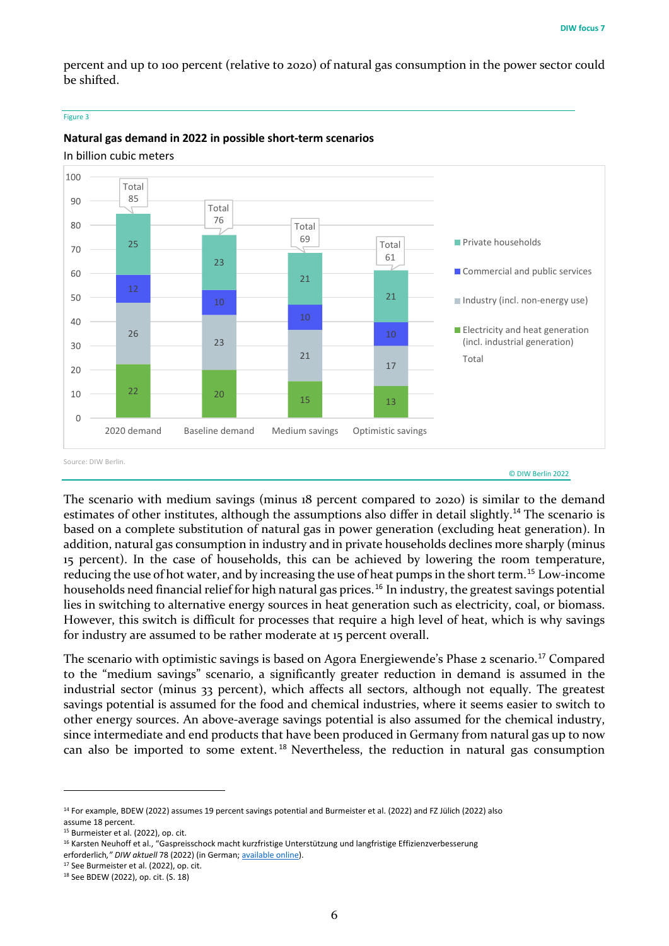percent and up to 100 percent (relative to 2020) of natural gas consumption in the power sector could be shifted.

#### Figure 3



# **Natural gas demand in 2022 in possible short-term scenarios**

In billion cubic meters

The scenario with medium savings (minus 18 percent compared to 2020) is similar to the demand estimates of other institutes, although the assumptions also differ in detail slightly.<sup>[14](#page-5-0)</sup> The scenario is based on a complete substitution of natural gas in power generation (excluding heat generation). In addition, natural gas consumption in industry and in private households declines more sharply (minus 15 percent). In the case of households, this can be achieved by lowering the room temperature, reducing the use of hot water, and by increasing the use of heat pumps in the short term.[15](#page-5-1) Low-income households need financial relief for high natural gas prices.<sup>[16](#page-5-2)</sup> In industry, the greatest savings potential lies in switching to alternative energy sources in heat generation such as electricity, coal, or biomass. However, this switch is difficult for processes that require a high level of heat, which is why savings for industry are assumed to be rather moderate at 15 percent overall.

The scenario with optimistic savings is based on Agora Energiewende's Phase 2 scenario.<sup>[17](#page-5-3)</sup> Compared to the "medium savings" scenario, a significantly greater reduction in demand is assumed in the industrial sector (minus 33 percent), which affects all sectors, although not equally. The greatest savings potential is assumed for the food and chemical industries, where it seems easier to switch to other energy sources. An above-average savings potential is also assumed for the chemical industry, since intermediate and end products that have been produced in Germany from natural gas up to now can also be imported to some extent. [18](#page-5-4) Nevertheless, the reduction in natural gas consumption

 $\overline{a}$ 

<span id="page-5-0"></span><sup>&</sup>lt;sup>14</sup> For example, BDEW (2022) assumes 19 percent savings potential and Burmeister et al. (2022) and FZ Jülich (2022) also assume 18 percent.

<span id="page-5-1"></span><sup>&</sup>lt;sup>15</sup> Burmeister et al. (2022), op. cit.

<span id="page-5-2"></span><sup>&</sup>lt;sup>16</sup> Karsten Neuhoff et al., "Gaspreisschock macht kurzfristige Unterstützung und langfristige Effizienzverbesserung

erforderlich*," DIW aktuell* 78 (2022) (in German[; available online\)](https://www.diw.de/de/diw_01.c.834561.de/publikationen/diw_aktuell/2022_0078/gaspreisschock_macht_kurzfristige_unterstuetzung_und_langfristige_effizienzverbesserung_erforderlich.html).

<span id="page-5-3"></span><sup>&</sup>lt;sup>17</sup> See Burmeister et al. (2022), op. cit.

<span id="page-5-4"></span><sup>18</sup> See BDEW (2022), op. cit. (S. 18)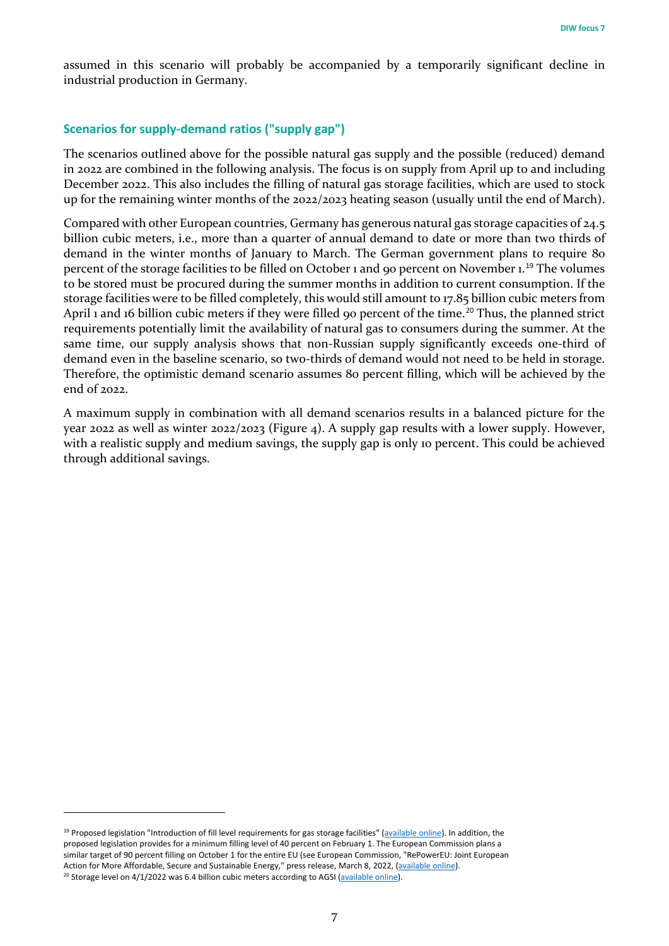assumed in this scenario will probably be accompanied by a temporarily significant decline in industrial production in Germany.

# **Scenarios for supply-demand ratios ("supply gap")**

The scenarios outlined above for the possible natural gas supply and the possible (reduced) demand in 2022 are combined in the following analysis. The focus is on supply from April up to and including December 2022. This also includes the filling of natural gas storage facilities, which are used to stock up for the remaining winter months of the 2022/2023 heating season (usually until the end of March).

Compared with other European countries, Germany has generous natural gas storage capacities of 24.5 billion cubic meters, i.e., more than a quarter of annual demand to date or more than two thirds of demand in the winter months of January to March. The German government plans to require 80 percent of the storage facilities to be filled on October 1 and 90 percent on November 1.[19](#page-6-0) The volumes to be stored must be procured during the summer months in addition to current consumption. If the storage facilities were to be filled completely, this would still amount to 17.85 billion cubic meters from April 1 and 16 billion cubic meters if they were filled 90 percent of the time.<sup>[20](#page-6-1)</sup> Thus, the planned strict requirements potentially limit the availability of natural gas to consumers during the summer. At the same time, our supply analysis shows that non-Russian supply significantly exceeds one-third of demand even in the baseline scenario, so two-thirds of demand would not need to be held in storage. Therefore, the optimistic demand scenario assumes 80 percent filling, which will be achieved by the end of 2022.

A maximum supply in combination with all demand scenarios results in a balanced picture for the year 2022 as well as winter 2022/2023 (Figure 4). A supply gap results with a lower supply. However, with a realistic supply and medium savings, the supply gap is only 10 percent. This could be achieved through additional savings.

 $\overline{a}$ 

<span id="page-6-1"></span><span id="page-6-0"></span><sup>19</sup> Proposed legislation "Introduction of fill level requirements for gas storage facilities" [\(available online\)](https://www.bundestag.de/dokumente/textarchiv/2022/kw11-de-gasspeicheranlagen-883810). In addition, the proposed legislation provides for a minimum filling level of 40 percent on February 1. The European Commission plans a similar target of 90 percent filling on October 1 for the entire EU (see European Commission, "RePowerEU: Joint European Action for More Affordable, Secure and Sustainable Energy," press release, March 8, 2022, [\(available online\).](https://ec.europa.eu/commission/presscorner/detail/de/ip_22_1511) <sup>20</sup> Storage level on  $4/1/2022$  was 6.4 billion cubic meters according to AGSI [\(available online\).](https://agsi.gie.eu/#/historical/DE)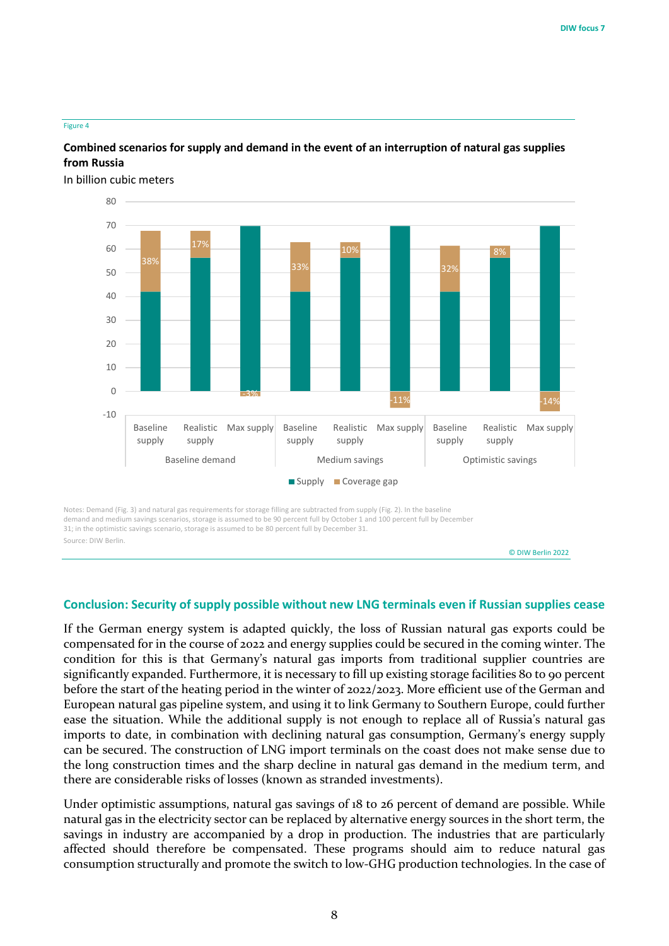#### Figure 4

# **Combined scenarios for supply and demand in the event of an interruption of natural gas supplies from Russia**

In billion cubic meters



31; in the optimistic savings scenario, storage is assumed to be 80 percent full by December 31. Source: DIW Berlin.

© DIW Berlin 2022

# **Conclusion: Security of supply possible without new LNG terminals even if Russian supplies cease**

If the German energy system is adapted quickly, the loss of Russian natural gas exports could be compensated for in the course of 2022 and energy supplies could be secured in the coming winter. The condition for this is that Germany's natural gas imports from traditional supplier countries are significantly expanded. Furthermore, it is necessary to fill up existing storage facilities 80 to 90 percent before the start of the heating period in the winter of 2022/2023. More efficient use of the German and European natural gas pipeline system, and using it to link Germany to Southern Europe, could further ease the situation. While the additional supply is not enough to replace all of Russia's natural gas imports to date, in combination with declining natural gas consumption, Germany's energy supply can be secured. The construction of LNG import terminals on the coast does not make sense due to the long construction times and the sharp decline in natural gas demand in the medium term, and there are considerable risks of losses (known as stranded investments).

Under optimistic assumptions, natural gas savings of 18 to 26 percent of demand are possible. While natural gas in the electricity sector can be replaced by alternative energy sources in the short term, the savings in industry are accompanied by a drop in production. The industries that are particularly affected should therefore be compensated. These programs should aim to reduce natural gas consumption structurally and promote the switch to low-GHG production technologies. In the case of